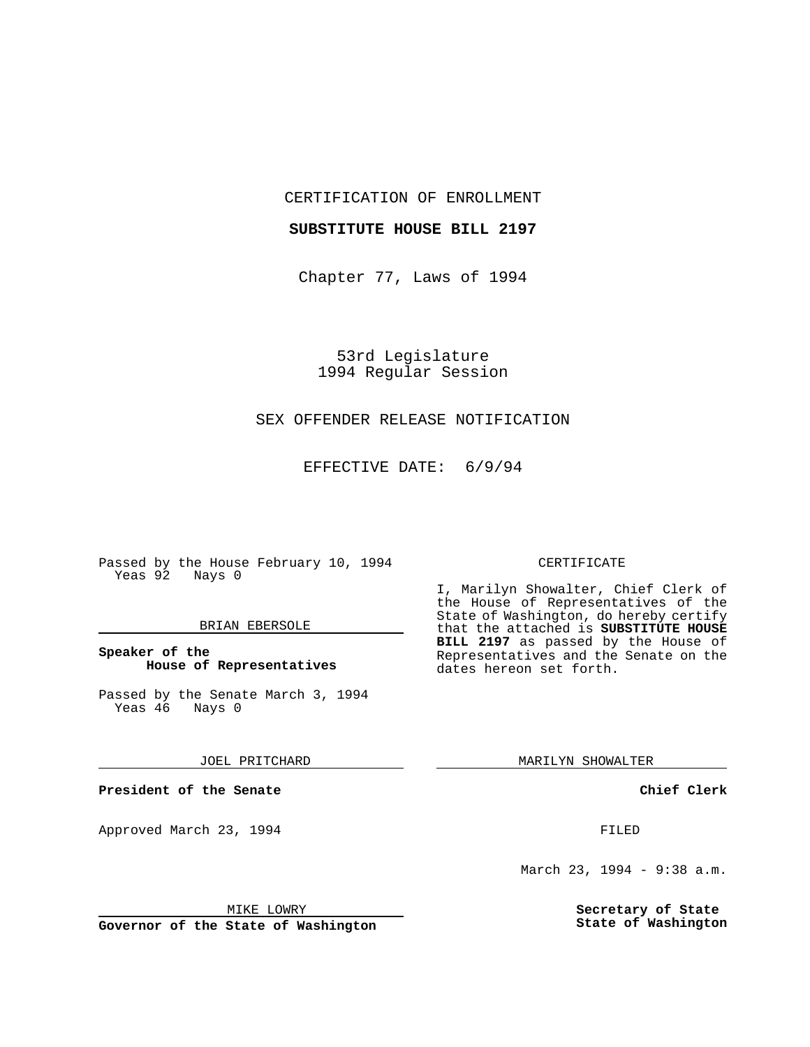CERTIFICATION OF ENROLLMENT

#### **SUBSTITUTE HOUSE BILL 2197**

Chapter 77, Laws of 1994

53rd Legislature 1994 Regular Session

## SEX OFFENDER RELEASE NOTIFICATION

EFFECTIVE DATE: 6/9/94

Passed by the House February 10, 1994 Yeas 92 Nays 0

#### BRIAN EBERSOLE

### **Speaker of the House of Representatives**

Passed by the Senate March 3, 1994<br>Yeas 46 Nays 0 Yeas 46

JOEL PRITCHARD

**President of the Senate**

Approved March 23, 1994 **FILED** 

### CERTIFICATE

I, Marilyn Showalter, Chief Clerk of the House of Representatives of the State of Washington, do hereby certify that the attached is **SUBSTITUTE HOUSE BILL 2197** as passed by the House of Representatives and the Senate on the dates hereon set forth.

MARILYN SHOWALTER

**Chief Clerk**

March 23, 1994 - 9:38 a.m.

**Secretary of State State of Washington**

MIKE LOWRY

**Governor of the State of Washington**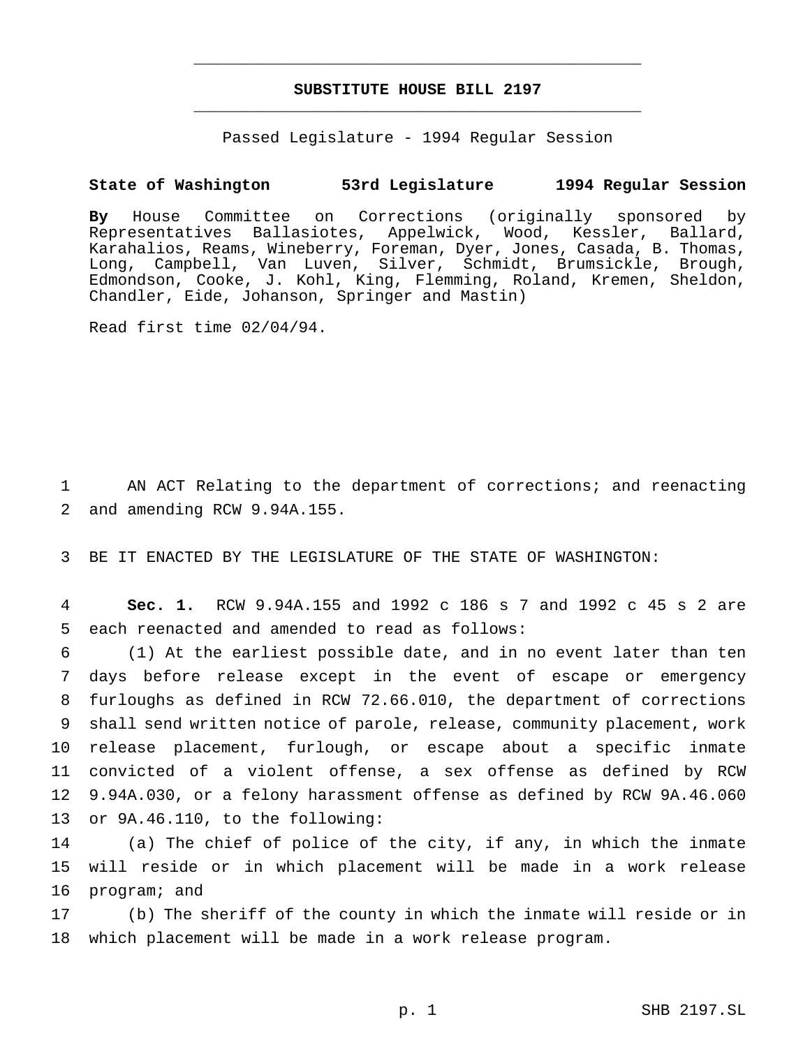# **SUBSTITUTE HOUSE BILL 2197** \_\_\_\_\_\_\_\_\_\_\_\_\_\_\_\_\_\_\_\_\_\_\_\_\_\_\_\_\_\_\_\_\_\_\_\_\_\_\_\_\_\_\_\_\_\_\_

\_\_\_\_\_\_\_\_\_\_\_\_\_\_\_\_\_\_\_\_\_\_\_\_\_\_\_\_\_\_\_\_\_\_\_\_\_\_\_\_\_\_\_\_\_\_\_

Passed Legislature - 1994 Regular Session

### **State of Washington 53rd Legislature 1994 Regular Session**

**By** House Committee on Corrections (originally sponsored by Representatives Ballasiotes, Appelwick, Wood, Kessler, Ballard, Karahalios, Reams, Wineberry, Foreman, Dyer, Jones, Casada, B. Thomas, Long, Campbell, Van Luven, Silver, Schmidt, Brumsickle, Brough, Edmondson, Cooke, J. Kohl, King, Flemming, Roland, Kremen, Sheldon, Chandler, Eide, Johanson, Springer and Mastin)

Read first time 02/04/94.

1 AN ACT Relating to the department of corrections; and reenacting 2 and amending RCW 9.94A.155.

3 BE IT ENACTED BY THE LEGISLATURE OF THE STATE OF WASHINGTON:

4 **Sec. 1.** RCW 9.94A.155 and 1992 c 186 s 7 and 1992 c 45 s 2 are 5 each reenacted and amended to read as follows:

 (1) At the earliest possible date, and in no event later than ten days before release except in the event of escape or emergency furloughs as defined in RCW 72.66.010, the department of corrections shall send written notice of parole, release, community placement, work release placement, furlough, or escape about a specific inmate convicted of a violent offense, a sex offense as defined by RCW 9.94A.030, or a felony harassment offense as defined by RCW 9A.46.060 or 9A.46.110, to the following:

14 (a) The chief of police of the city, if any, in which the inmate 15 will reside or in which placement will be made in a work release 16 program; and

17 (b) The sheriff of the county in which the inmate will reside or in 18 which placement will be made in a work release program.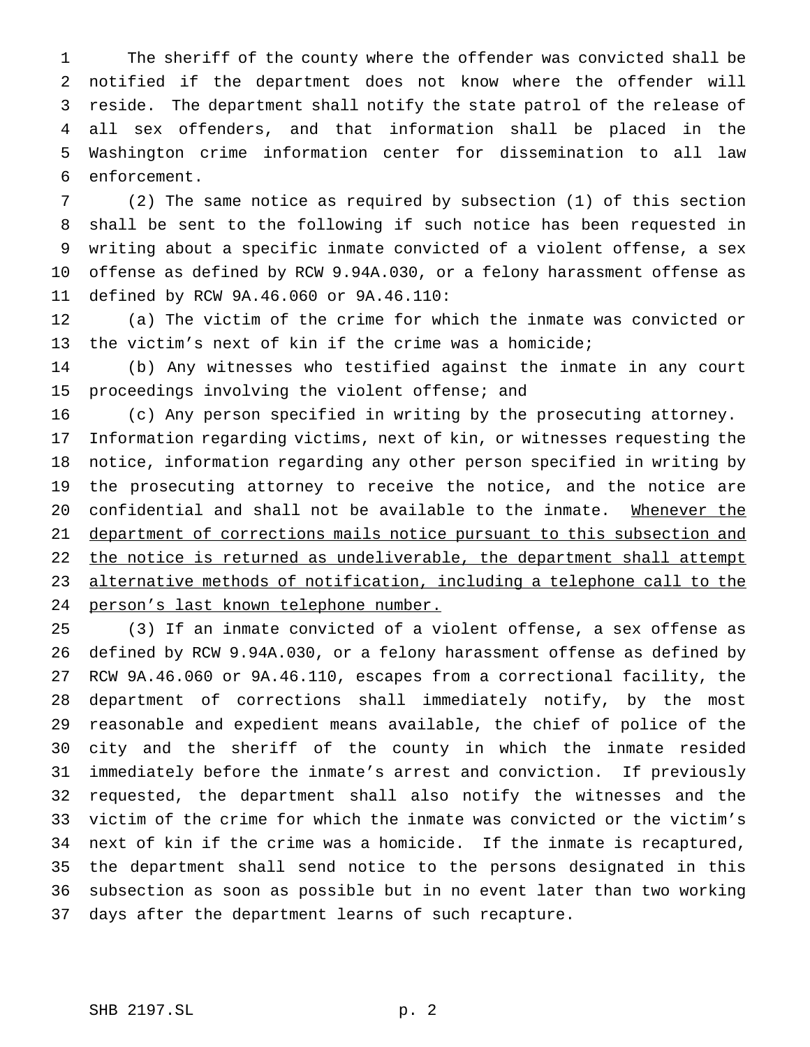The sheriff of the county where the offender was convicted shall be notified if the department does not know where the offender will reside. The department shall notify the state patrol of the release of all sex offenders, and that information shall be placed in the Washington crime information center for dissemination to all law enforcement.

 (2) The same notice as required by subsection (1) of this section shall be sent to the following if such notice has been requested in writing about a specific inmate convicted of a violent offense, a sex offense as defined by RCW 9.94A.030, or a felony harassment offense as defined by RCW 9A.46.060 or 9A.46.110:

 (a) The victim of the crime for which the inmate was convicted or the victim's next of kin if the crime was a homicide;

 (b) Any witnesses who testified against the inmate in any court proceedings involving the violent offense; and

(c) Any person specified in writing by the prosecuting attorney.

 Information regarding victims, next of kin, or witnesses requesting the notice, information regarding any other person specified in writing by the prosecuting attorney to receive the notice, and the notice are confidential and shall not be available to the inmate. Whenever the department of corrections mails notice pursuant to this subsection and 22 the notice is returned as undeliverable, the department shall attempt alternative methods of notification, including a telephone call to the person's last known telephone number.

 (3) If an inmate convicted of a violent offense, a sex offense as defined by RCW 9.94A.030, or a felony harassment offense as defined by RCW 9A.46.060 or 9A.46.110, escapes from a correctional facility, the department of corrections shall immediately notify, by the most reasonable and expedient means available, the chief of police of the city and the sheriff of the county in which the inmate resided immediately before the inmate's arrest and conviction. If previously requested, the department shall also notify the witnesses and the victim of the crime for which the inmate was convicted or the victim's next of kin if the crime was a homicide. If the inmate is recaptured, the department shall send notice to the persons designated in this subsection as soon as possible but in no event later than two working days after the department learns of such recapture.